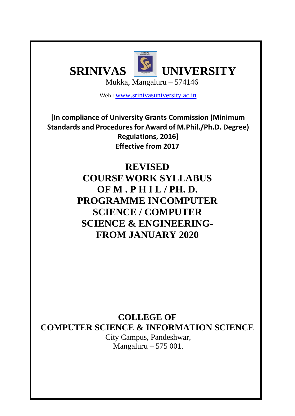

Web : [www.srinivasuniversity.ac.in](http://www.srinivasuniversity.ac.in/)

**[In compliance of University Grants Commission (Minimum Standards and Procedures for Award of M.Phil./Ph.D. Degree) Regulations, 2016] Effective from 2017**

> **REVISED COURSEWORK SYLLABUS OF M . P H I L / PH. D. PROGRAMME INCOMPUTER SCIENCE / COMPUTER SCIENCE & ENGINEERING-FROM JANUARY 2020**

**COLLEGE OF COMPUTER SCIENCE & INFORMATION SCIENCE**

> City Campus, Pandeshwar, Mangaluru – 575 001.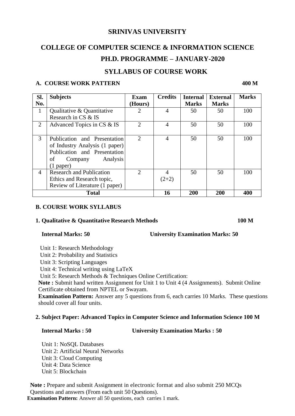## **SRINIVAS UNIVERSITY**

# **COLLEGE OF COMPUTER SCIENCE & INFORMATION SCIENCE PH.D. PROGRAMME – JANUARY-2020**

## **SYLLABUS OF COURSE WORK**

## **A. COURSE WORK PATTERN 400 M**

| Sl. | <b>Subjects</b>                 | <b>Exam</b>                 | <b>Credits</b> | <b>Internal</b> | <b>External</b> | <b>Marks</b> |
|-----|---------------------------------|-----------------------------|----------------|-----------------|-----------------|--------------|
| No. |                                 | (Hours)                     |                | <b>Marks</b>    | <b>Marks</b>    |              |
| 1   | Qualitative & Quantitative      | $\mathcal{D}_{\mathcal{L}}$ | 4              | 50              | 50              | 100          |
|     | Research in CS & IS             |                             |                |                 |                 |              |
| 2   | Advanced Topics in CS & IS      | $\mathcal{D}_{\mathcal{A}}$ | 4              | 50              | 50              | 100          |
|     |                                 |                             |                |                 |                 |              |
| 3   | Publication and Presentation    | $\mathcal{D}_{\mathcal{L}}$ | 4              | 50              | 50              | 100          |
|     | of Industry Analysis (1 paper)  |                             |                |                 |                 |              |
|     | Publication and Presentation    |                             |                |                 |                 |              |
|     | Analysis<br>of<br>Company       |                             |                |                 |                 |              |
|     | $(1$ paper)                     |                             |                |                 |                 |              |
| 4   | <b>Research and Publication</b> | 2                           | 4              | 50              | 50              | 100          |
|     | Ethics and Research topic,      |                             | $(2+2)$        |                 |                 |              |
|     | Review of Literature (1 paper)  |                             |                |                 |                 |              |
|     | <b>Total</b>                    |                             | 16             | 200             | 200             | 400          |

### **B. COURSE WORK SYLLABUS**

### **1. Qualitative & Quantitative Research Methods 100 M**

### **Internal Marks: 50 University Examination Marks: 50**

Unit 1: Research Methodology

Unit 2: Probability and Statistics

Unit 3: Scripting Languages

Unit 4: Technical writing using LaTeX

Unit 5: Research Methods & Techniques Online Certification:

**Note :** Submit hand written Assignment for Unit 1 to Unit 4 (4 Assignments). Submit Online Certificate obtained from NPTEL or Swayam.

**Examination Pattern:** Answer any 5 questions from 6, each carries 10 Marks. These questions should cover all four units.

### **2. Subject Paper: Advanced Topics in Computer Science and Information Science 100 M**

#### **Internal Marks : 50 University Examination Marks : 50**

Unit 1: NoSQL Databases Unit 2: Artificial Neural Networks Unit 3: Cloud Computing Unit 4: Data Science Unit 5: Blockchain

**Note :** Prepare and submit Assignment in electronic format and also submit 250 MCQs Questions and answers (From each unit 50 Questions).

**Examination Pattern:** Answer all 50 questions, each carries 1 mark.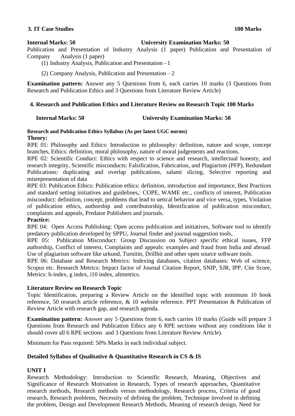### **3. IT Case Studies 100 Marks**

#### **Internal Marks: 50 University Examination Marks: 50**

Publication and Presentation of Industry Analysis (1 paper) Publication and Presentation of Company Analysis (1 paper)

- (1) Industry Analysis, Publication and Presentation 1
- (2) Company Analysis, Publication and Presentation 2

**Examination pattern:** Answer any 5 Questions from 6, each carries 10 marks (3 Questions from Research and Publication Ethics and 3 Questions from Literature Review Article)

### **4. Research and Publication Ethics and Literature Review on Research Topic 100 Marks**

#### **Internal Marks: 50 University Examination Marks: 50**

## **Research and Publication Ethics Syllabus (As per latest UGC norms)**

#### **Theory:**

RPE 01: Philosophy and Ethics: Introduction to philosophy: definition, nature and scope, concept branches, Ethics: definition, moral philosophy, nature of moral judgements and reactions.

RPE 02: Scientific Conduct: Ethics with respect to science and research, intellectual honesty, and research integrity, Scientific misconducts: Falsification, Fabrication, and Plagiarism (PFP), Redundant Publications: duplicating and overlap publications, salami slicing, Selective reporting and misrepresentation of data

RPE 03: Publication Ethics: Publication ethics: definition, introduction and importance, Best Practices and standard setting initiatives and guidelines,: COPE, WAME etc., conflicts of interest, Publication misconduct: definition, concept, problems that lead to uetical behavior and vice versa, types, Violation of publication ethics, authorship and contributorship, Identification of publication misconduct, complaints and appeals, Predator Publishers and journals.

### **Practice:**

RPE 04: Open Access Publishing: Open access publication and initiatives, Software tool to identify predatory publication developed by SPPU, Journal finder and journal suggestion tools,

RPE 05: Publication Misconduct: Group Discussion on Subject specific ethical issues, FFP authorship, Conflict of interest, Complaints and appeals: examples and fraud from India and abroad. Use of plagiarism software like urkund, Turnitin, Drillbit and other open source software tools.

RPE 06: Database and Research Metrics: Indexing databases, citation databases: Web of science, Scopus etc. Research Metrics: Impact factor of Journal Citation Report, SNIP, SJR, IPP, Cite Score, Metrics: h-index, g index, i10 index, altmetrics.

### **Literature Review on Research Topic**

Topic Identification, preparing a Review Article on the identified topic with minimum 10 book reference, 50 research article reference, & 10 website reference. PPT Presentation & Publication of Review Article with research gap, and research agenda.

**Examination pattern:** Answer any 5 Questions from 6, each carries 10 marks (Guide will prepare 3 Questions from Research and Publication Ethics any 6 RPE sections without any conditions like it should cover all 6 RPE sections and 3 Questions from Literature Review Article).

Minimum for Pass required: 50% Marks in each individual subject.

### **Detailed Syllabus of Qualitative & Quantitative Research in CS & IS**

### **UNIT I**

Research Methodology: Introduction to Scientific Research, Meaning, Objectives and Significance of Research Motivation in Research, Types of research approaches, Quantitative research methods, Research methods versus methodology, Research process, Criteria of good research, Research problems, Necessity of defining the problem, Technique involved in defining the problem, Design and Development Research Methods, Meaning of research design, Need for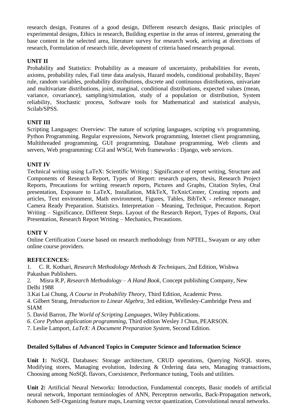research design, Features of a good design, Different research designs, Basic principles of experimental designs, Ethics in research, Building expertise in the areas of interest, generating the base content in the selected area, literature survey for research work, arriving at directions of research, Formulation of research title, development of criteria based research proposal.

## **UNIT II**

Probability and Statistics: Probability as a measure of uncertainty, probabilities for events, axioms, probability rules, Fail time data analysis, Hazard models, conditional probability, Bayes' rule, random variables, probability distributions, discrete and continuous distributions, univariate and multivariate distributions, joint, marginal, conditional distributions, expected values (mean, variance, covariance), sampling/simulation, study of a population or distribution, System reliability, Stochastic process, Software tools for Mathematical and statistical analysis, Scilab/SPSS.

## **UNIT III**

Scripting Languages: Overview: The nature of scripting languages, scripting v/s programming, Python Programming. Regular expressions, Network programming, Internet client programming, Multithreaded programming, GUI programming, Database programming, Web clients and servers, Web programming: CGI and WSGI, Web frameworks : Django, web services.

## **UNIT IV**

Technical writing using LaTeX: Scientific Writing : Significance of report writing, Structure and Components of Research Report, Types of Report: research papers, thesis, Research Project Reports, Precautions for writing research reports, Pictures and Graphs, Citation Styles, Oral presentation, Exposure to LaTeX, Installation, MikTeX, TeXnicCenter, Creating reports and articles, Text environment, Math environment, Figures, Tables, BibTeX - reference manager, Camera Ready Preparation. Statistics. Interpretation – Meaning, Technique, Precaution. Report Writing – Significance, Different Steps. Layout of the Research Report, Types of Reports, Oral Presentation, Research Report Writing – Mechanics, Precautions.

## **UNIT V**

Online Certification Course based on research methodology from NPTEL, Swayam or any other online course providers.

### **REFECENCES:**

1. C. R. Kothari, *Research Methodology Methods & Techniques*, 2nd Edition, Wishwa Pakashan Publishers.

2. Misra R.P, *Research Methodology – A Hand Book*, Concept publishing Company, New Delhi 1988

3.Kai Lai Chung, *A Course in Probability Theory*, Third Edition, Academic Press.

4. Gilbert Strang*, Introduction to Linear Algebra*, 3rd edition, Wellesley-Cambridge Press and SIAM

5. David Barron, *The World of Scripting Languages*, Wiley Publications.

*6. Core Python application programming*, Third edition Wesley J Chun, PEARSON.

7. Leslie Lamport, *LaTeX: A Document Preparation System*, Second Edition.

## **Detailed Syllabus of Advanced Topics in Computer Science and Information Science**

**Unit 1:** NoSQL Databases: Storage architecture, CRUD operations, Querying NoSQL stores, Modifying stores, Managing evolution, Indexing & Ordering data sets, Managing transactions, Choosing among NoSQL flavors, Coexistence, Performance tuning, Tools and utilities.

**Unit 2:** Artificial Neural Networks: Introduction, Fundamental concepts, Basic models of artificial neural network, Important terminologies of ANN, Perceptron networks, Back-Propagation network, Kohonen Self-Organizing feature maps, Learning vector quantization, Convolutional neural networks.